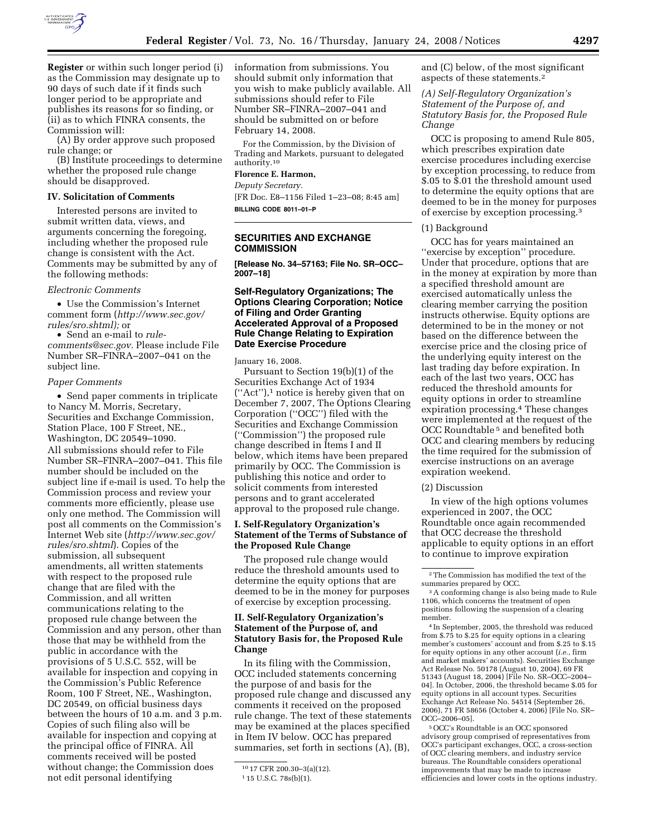

**Register** or within such longer period (i) as the Commission may designate up to 90 days of such date if it finds such longer period to be appropriate and publishes its reasons for so finding, or (ii) as to which FINRA consents, the Commission will:

(A) By order approve such proposed rule change; or

(B) Institute proceedings to determine whether the proposed rule change should be disapproved.

#### **IV. Solicitation of Comments**

Interested persons are invited to submit written data, views, and arguments concerning the foregoing, including whether the proposed rule change is consistent with the Act. Comments may be submitted by any of the following methods:

#### *Electronic Comments*

• Use the Commission's Internet comment form (*http://www.sec.gov/ rules/sro.shtml);* or

• Send an e-mail to *rulecomments@sec.gov.* Please include File Number SR–FINRA–2007–041 on the subject line.

#### *Paper Comments*

• Send paper comments in triplicate to Nancy M. Morris, Secretary, Securities and Exchange Commission, Station Place, 100 F Street, NE., Washington, DC 20549–1090. All submissions should refer to File Number SR–FINRA–2007–041. This file number should be included on the subject line if e-mail is used. To help the Commission process and review your comments more efficiently, please use only one method. The Commission will post all comments on the Commission's Internet Web site (*http://www.sec.gov/ rules/sro.shtml*). Copies of the submission, all subsequent amendments, all written statements with respect to the proposed rule change that are filed with the Commission, and all written communications relating to the proposed rule change between the Commission and any person, other than those that may be withheld from the public in accordance with the provisions of 5 U.S.C. 552, will be available for inspection and copying in the Commission's Public Reference Room, 100 F Street, NE., Washington, DC 20549, on official business days between the hours of 10 a.m. and 3 p.m. Copies of such filing also will be available for inspection and copying at the principal office of FINRA. All comments received will be posted without change; the Commission does not edit personal identifying

information from submissions. You should submit only information that you wish to make publicly available. All submissions should refer to File Number SR–FINRA–2007–041 and should be submitted on or before February 14, 2008.

For the Commission, by the Division of Trading and Markets, pursuant to delegated authority.10

# **Florence E. Harmon,**

*Deputy Secretary.* 

[FR Doc. E8–1156 Filed 1–23–08; 8:45 am] **BILLING CODE 8011–01–P** 

# **SECURITIES AND EXCHANGE COMMISSION**

**[Release No. 34–57163; File No. SR–OCC– 2007–18]** 

### **Self-Regulatory Organizations; The Options Clearing Corporation; Notice of Filing and Order Granting Accelerated Approval of a Proposed Rule Change Relating to Expiration Date Exercise Procedure**

January 16, 2008.

Pursuant to Section 19(b)(1) of the Securities Exchange Act of 1934  $("Act")$ , notice is hereby given that on December 7, 2007, The Options Clearing Corporation (''OCC'') filed with the Securities and Exchange Commission (''Commission'') the proposed rule change described in Items I and II below, which items have been prepared primarily by OCC. The Commission is publishing this notice and order to solicit comments from interested persons and to grant accelerated approval to the proposed rule change.

#### **I. Self-Regulatory Organization's Statement of the Terms of Substance of the Proposed Rule Change**

The proposed rule change would reduce the threshold amounts used to determine the equity options that are deemed to be in the money for purposes of exercise by exception processing.

# **II. Self-Regulatory Organization's Statement of the Purpose of, and Statutory Basis for, the Proposed Rule Change**

In its filing with the Commission, OCC included statements concerning the purpose of and basis for the proposed rule change and discussed any comments it received on the proposed rule change. The text of these statements may be examined at the places specified in Item IV below. OCC has prepared summaries, set forth in sections (A), (B),

and (C) below, of the most significant aspects of these statements.2

*(A) Self-Regulatory Organization's Statement of the Purpose of, and Statutory Basis for, the Proposed Rule Change* 

OCC is proposing to amend Rule 805, which prescribes expiration date exercise procedures including exercise by exception processing, to reduce from \$.05 to \$.01 the threshold amount used to determine the equity options that are deemed to be in the money for purposes of exercise by exception processing.3

#### (1) Background

OCC has for years maintained an ''exercise by exception'' procedure. Under that procedure, options that are in the money at expiration by more than a specified threshold amount are exercised automatically unless the clearing member carrying the position instructs otherwise. Equity options are determined to be in the money or not based on the difference between the exercise price and the closing price of the underlying equity interest on the last trading day before expiration. In each of the last two years, OCC has reduced the threshold amounts for equity options in order to streamline expiration processing.4 These changes were implemented at the request of the OCC Roundtable 5 and benefited both OCC and clearing members by reducing the time required for the submission of exercise instructions on an average expiration weekend.

### (2) Discussion

In view of the high options volumes experienced in 2007, the OCC Roundtable once again recommended that OCC decrease the threshold applicable to equity options in an effort to continue to improve expiration

4 In September, 2005, the threshold was reduced from \$.75 to \$.25 for equity options in a clearing member's customers' account and from \$.25 to \$.15 for equity options in any other account (*i.e.*, firm and market makers' accounts). Securities Exchange Act Release No. 50178 (August 10, 2004), 69 FR 51343 (August 18, 2004) [File No. SR–OCC–2004– 04]. In October, 2006, the threshold became \$.05 for equity options in all account types. Securities Exchange Act Release No. 54514 (September 26, 2006), 71 FR 58656 (October 4, 2006) [File No. SR– OCC–2006–05].

5OCC's Roundtable is an OCC sponsored advisory group comprised of representatives from OCC's participant exchanges, OCC, a cross-section of OCC clearing members, and industry service bureaus. The Roundtable considers operational improvements that may be made to increase efficiencies and lower costs in the options industry.

<sup>10</sup> 17 CFR 200.30–3(a)(12).

<sup>1</sup> 15 U.S.C. 78s(b)(1).

<sup>&</sup>lt;sup>2</sup>The Commission has modified the text of the summaries prepared by OCC.

summaries prepared by OCC.<br><sup>3</sup> A conforming change is also being made to Rule<br>1106, which concerns the treatment of open positions following the suspension of a clearing member.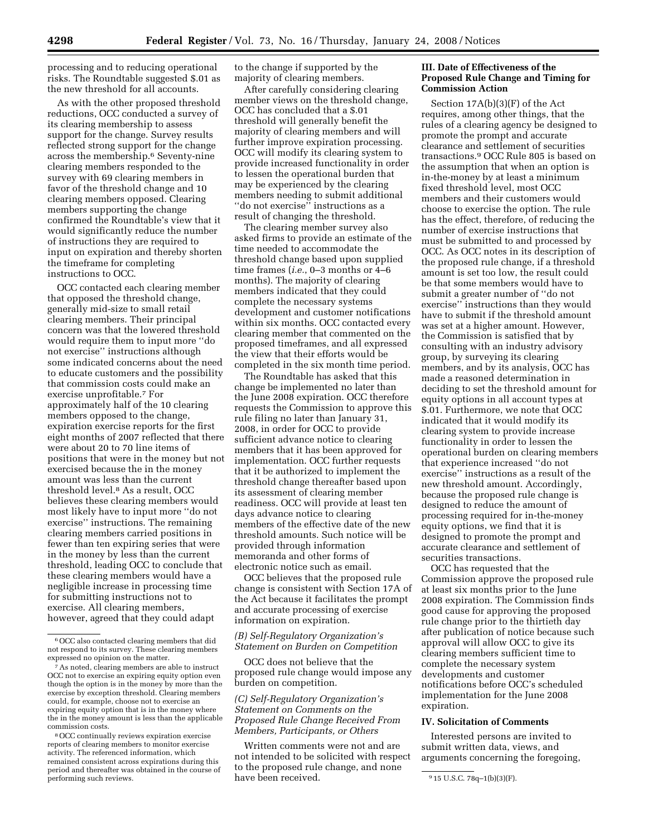processing and to reducing operational risks. The Roundtable suggested \$.01 as the new threshold for all accounts.

As with the other proposed threshold reductions, OCC conducted a survey of its clearing membership to assess support for the change. Survey results reflected strong support for the change across the membership.6 Seventy-nine clearing members responded to the survey with 69 clearing members in favor of the threshold change and 10 clearing members opposed. Clearing members supporting the change confirmed the Roundtable's view that it would significantly reduce the number of instructions they are required to input on expiration and thereby shorten the timeframe for completing instructions to OCC.

OCC contacted each clearing member that opposed the threshold change, generally mid-size to small retail clearing members. Their principal concern was that the lowered threshold would require them to input more ''do not exercise'' instructions although some indicated concerns about the need to educate customers and the possibility that commission costs could make an exercise unprofitable.7 For approximately half of the 10 clearing members opposed to the change, expiration exercise reports for the first eight months of 2007 reflected that there were about 20 to 70 line items of positions that were in the money but not exercised because the in the money amount was less than the current threshold level.8 As a result, OCC believes these clearing members would most likely have to input more ''do not exercise'' instructions. The remaining clearing members carried positions in fewer than ten expiring series that were in the money by less than the current threshold, leading OCC to conclude that these clearing members would have a negligible increase in processing time for submitting instructions not to exercise. All clearing members, however, agreed that they could adapt

to the change if supported by the majority of clearing members.

After carefully considering clearing member views on the threshold change, OCC has concluded that a \$.01 threshold will generally benefit the majority of clearing members and will further improve expiration processing. OCC will modify its clearing system to provide increased functionality in order to lessen the operational burden that may be experienced by the clearing members needing to submit additional ''do not exercise'' instructions as a result of changing the threshold.

The clearing member survey also asked firms to provide an estimate of the time needed to accommodate the threshold change based upon supplied time frames (*i.e.*, 0–3 months or 4–6 months). The majority of clearing members indicated that they could complete the necessary systems development and customer notifications within six months. OCC contacted every clearing member that commented on the proposed timeframes, and all expressed the view that their efforts would be completed in the six month time period.

The Roundtable has asked that this change be implemented no later than the June 2008 expiration. OCC therefore requests the Commission to approve this rule filing no later than January 31, 2008, in order for OCC to provide sufficient advance notice to clearing members that it has been approved for implementation. OCC further requests that it be authorized to implement the threshold change thereafter based upon its assessment of clearing member readiness. OCC will provide at least ten days advance notice to clearing members of the effective date of the new threshold amounts. Such notice will be provided through information memoranda and other forms of electronic notice such as email.

OCC believes that the proposed rule change is consistent with Section 17A of the Act because it facilitates the prompt and accurate processing of exercise information on expiration.

### *(B) Self-Regulatory Organization's Statement on Burden on Competition*

OCC does not believe that the proposed rule change would impose any burden on competition.

*(C) Self-Regulatory Organization's Statement on Comments on the Proposed Rule Change Received From Members, Participants, or Others* 

Written comments were not and are not intended to be solicited with respect to the proposed rule change, and none have been received.

### **III. Date of Effectiveness of the Proposed Rule Change and Timing for Commission Action**

Section 17A(b)(3)(F) of the Act requires, among other things, that the rules of a clearing agency be designed to promote the prompt and accurate clearance and settlement of securities transactions.9 OCC Rule 805 is based on the assumption that when an option is in-the-money by at least a minimum fixed threshold level, most OCC members and their customers would choose to exercise the option. The rule has the effect, therefore, of reducing the number of exercise instructions that must be submitted to and processed by OCC. As OCC notes in its description of the proposed rule change, if a threshold amount is set too low, the result could be that some members would have to submit a greater number of ''do not exercise'' instructions than they would have to submit if the threshold amount was set at a higher amount. However, the Commission is satisfied that by consulting with an industry advisory group, by surveying its clearing members, and by its analysis, OCC has made a reasoned determination in deciding to set the threshold amount for equity options in all account types at \$.01. Furthermore, we note that OCC indicated that it would modify its clearing system to provide increase functionality in order to lessen the operational burden on clearing members that experience increased ''do not exercise'' instructions as a result of the new threshold amount. Accordingly, because the proposed rule change is designed to reduce the amount of processing required for in-the-money equity options, we find that it is designed to promote the prompt and accurate clearance and settlement of securities transactions.

OCC has requested that the Commission approve the proposed rule at least six months prior to the June 2008 expiration. The Commission finds good cause for approving the proposed rule change prior to the thirtieth day after publication of notice because such approval will allow OCC to give its clearing members sufficient time to complete the necessary system developments and customer notifications before OCC's scheduled implementation for the June 2008 expiration.

### **IV. Solicitation of Comments**

Interested persons are invited to submit written data, views, and arguments concerning the foregoing,

<sup>6</sup>OCC also contacted clearing members that did not respond to its survey. These clearing members expressed no opinion on the matter.

<sup>7</sup>As noted, clearing members are able to instruct OCC not to exercise an expiring equity option even though the option is in the money by more than the exercise by exception threshold. Clearing members could, for example, choose not to exercise an expiring equity option that is in the money where the in the money amount is less than the applicable commission costs.

<sup>8</sup>OCC continually reviews expiration exercise reports of clearing members to monitor exercise activity. The referenced information, which remained consistent across expirations during this period and thereafter was obtained in the course of

 $915$  U.S.C. 78q-1(b)(3)(F).